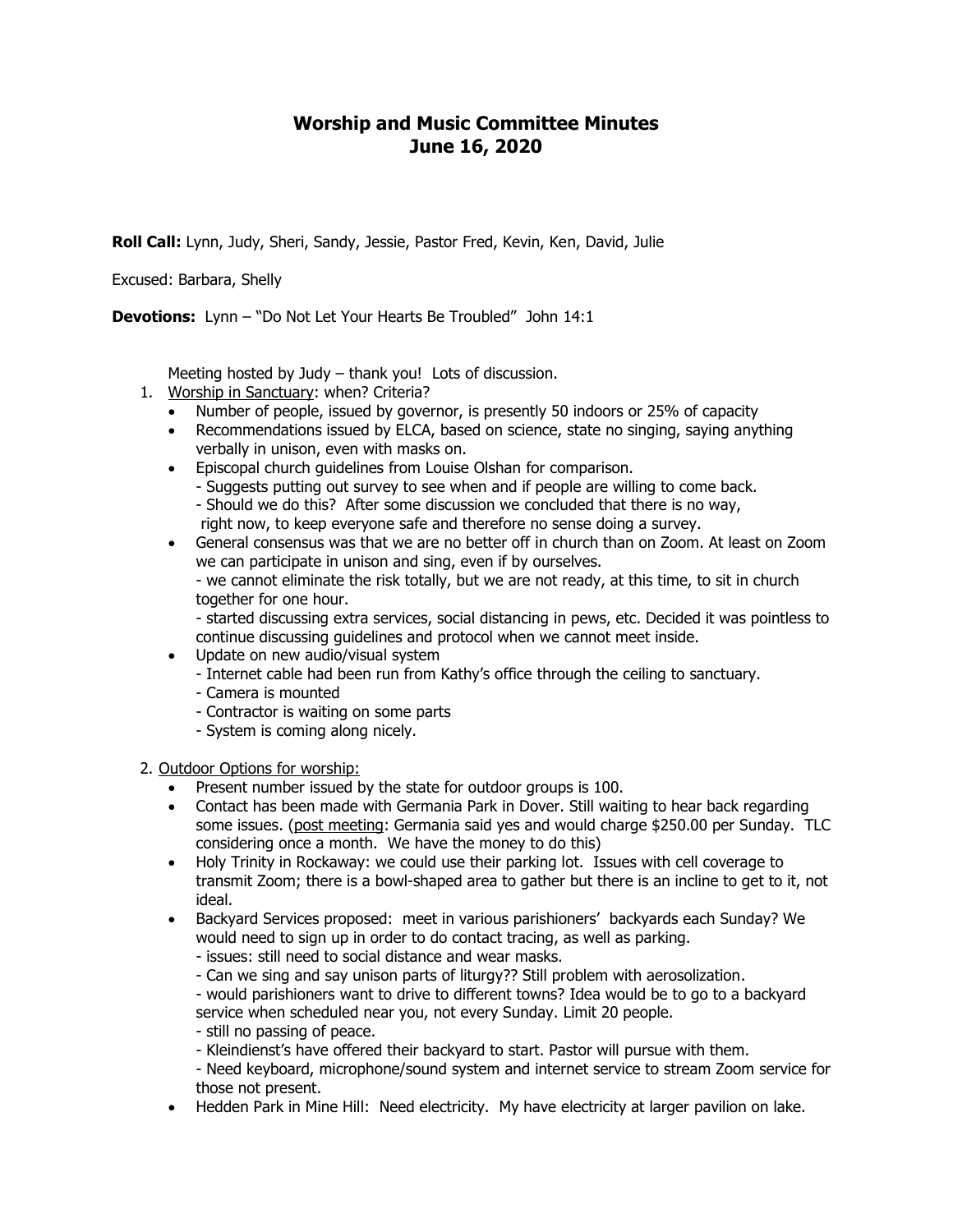## **Worship and Music Committee Minutes June 16, 2020**

**Roll Call:** Lynn, Judy, Sheri, Sandy, Jessie, Pastor Fred, Kevin, Ken, David, Julie

Excused: Barbara, Shelly

**Devotions:** Lynn – "Do Not Let Your Hearts Be Troubled" John 14:1

Meeting hosted by Judy – thank you! Lots of discussion.

- 1. Worship in Sanctuary: when? Criteria?
	- Number of people, issued by governor, is presently 50 indoors or 25% of capacity
	- Recommendations issued by ELCA, based on science, state no singing, saying anything verbally in unison, even with masks on.
	- **Episcopal church guidelines from Louise Olshan for comparison.** 
		- Suggests putting out survey to see when and if people are willing to come back. - Should we do this? After some discussion we concluded that there is no way, right now, to keep everyone safe and therefore no sense doing a survey.
	- General consensus was that we are no better off in church than on Zoom. At least on Zoom we can participate in unison and sing, even if by ourselves. - we cannot eliminate the risk totally, but we are not ready, at this time, to sit in church together for one hour.

- started discussing extra services, social distancing in pews, etc. Decided it was pointless to continue discussing guidelines and protocol when we cannot meet inside.

- Update on new audio/visual system
	- Internet cable had been run from Kathy's office through the ceiling to sanctuary.
	- Camera is mounted
	- Contractor is waiting on some parts
	- System is coming along nicely.

2. Outdoor Options for worship:

- Present number issued by the state for outdoor groups is 100.
- Contact has been made with Germania Park in Dover. Still waiting to hear back regarding some issues. (post meeting: Germania said yes and would charge \$250.00 per Sunday. TLC considering once a month. We have the money to do this)
- Holy Trinity in Rockaway: we could use their parking lot. Issues with cell coverage to transmit Zoom; there is a bowl-shaped area to gather but there is an incline to get to it, not ideal.
- Backyard Services proposed: meet in various parishioners' backyards each Sunday? We would need to sign up in order to do contact tracing, as well as parking.
	- issues: still need to social distance and wear masks.
	- Can we sing and say unison parts of liturgy?? Still problem with aerosolization.
	- would parishioners want to drive to different towns? Idea would be to go to a backyard service when scheduled near you, not every Sunday. Limit 20 people.
	- still no passing of peace.
	- Kleindienst's have offered their backyard to start. Pastor will pursue with them.
	- Need keyboard, microphone/sound system and internet service to stream Zoom service for those not present.
- Hedden Park in Mine Hill: Need electricity. My have electricity at larger pavilion on lake.